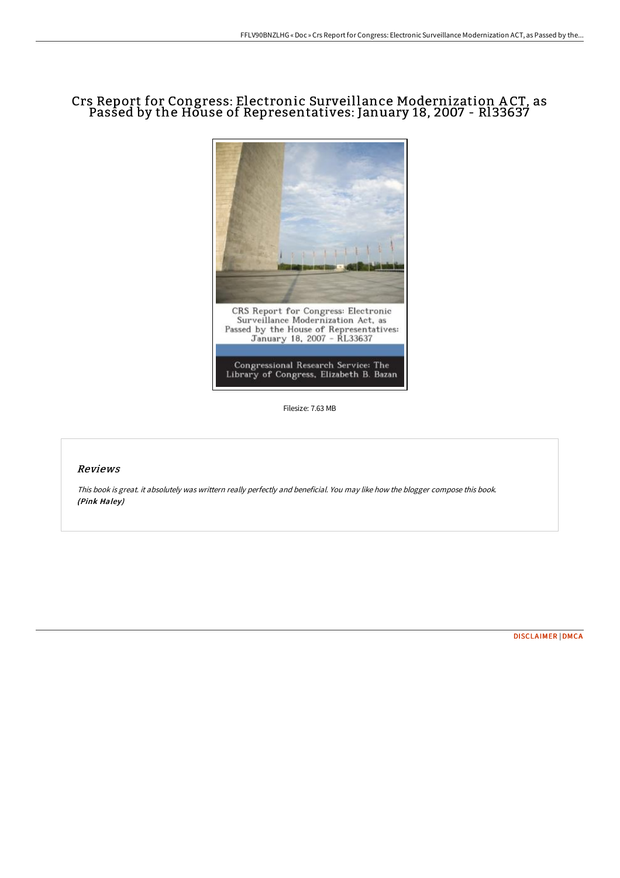## Crs Report for Congress: Electronic Surveillance Modernization A CT, as Passed by the House of Representatives: January 18, 2007 - Rl33637



Filesize: 7.63 MB

#### Reviews

This book is great. it absolutely was writtern really perfectly and beneficial. You may like how the blogger compose this book. (Pink Haley)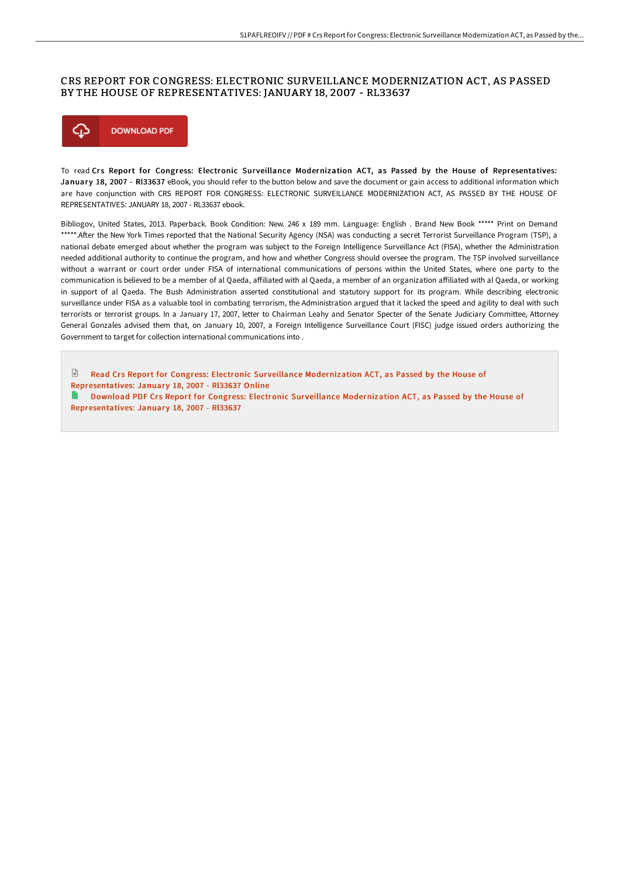## CRS REPORT FOR CONGRESS: ELECTRONIC SURVEILLANCE MODERNIZATION ACT, AS PASSED BY THE HOUSE OF REPRESENTATIVES: JANUARY 18, 2007 - RL33637



To read Crs Report for Congress: Electronic Surveillance Modernization ACT, as Passed by the House of Representatives: January 18, 2007 - RI33637 eBook, you should refer to the button below and save the document or gain access to additional information which are have conjunction with CRS REPORT FOR CONGRESS: ELECTRONIC SURVEILLANCE MODERNIZATION ACT, AS PASSED BY THE HOUSE OF REPRESENTATIVES: JANUARY 18, 2007 - RL33637 ebook.

Bibliogov, United States, 2013. Paperback. Book Condition: New. 246 x 189 mm. Language: English . Brand New Book \*\*\*\*\* Print on Demand \*\*\*\*\*.After the New York Times reported that the National Security Agency (NSA) was conducting a secret Terrorist Surveillance Program (TSP), a national debate emerged about whether the program was subject to the Foreign Intelligence Surveillance Act (FISA), whether the Administration needed additional authority to continue the program, and how and whether Congress should oversee the program. The TSP involved surveillance without a warrant or court order under FISA of international communications of persons within the United States, where one party to the communication is believed to be a member of al Qaeda, affiliated with al Qaeda, a member of an organization affiliated with al Qaeda, or working in support of al Qaeda. The Bush Administration asserted constitutional and statutory support for its program. While describing electronic surveillance under FISA as a valuable tool in combating terrorism, the Administration argued that it lacked the speed and agility to deal with such terrorists or terrorist groups. In a January 17, 2007, letter to Chairman Leahy and Senator Specter of the Senate Judiciary Committee, Attorney General Gonzales advised them that, on January 10, 2007, a Foreign Intelligence Surveillance Court (FISC) judge issued orders authorizing the Government to target for collection international communications into .

 $\sqrt{2}$ Read Crs Report for Congress: Electronic Surveillance Modernization ACT, as Passed by the House of [Representatives:](http://digilib.live/crs-report-for-congress-electronic-surveillance-.html) January 18, 2007 - Rl33637 Online

Download PDF Crs Report for Congress: Electronic Surveillance Modernization ACT, as Passed by the House of [Representatives:](http://digilib.live/crs-report-for-congress-electronic-surveillance-.html) January 18, 2007 - RI33637